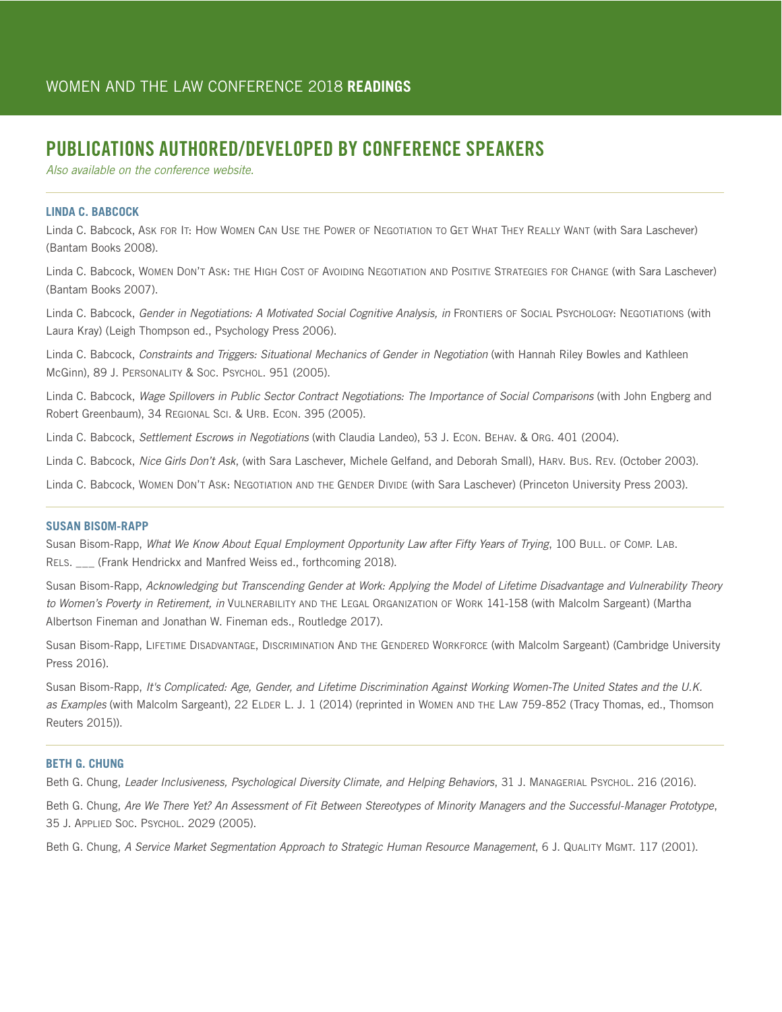# PUBLICATIONS AUTHORED/DEVELOPED BY CONFERENCE SPEAKERS

*Also available on the conference website.*

#### **LINDA C. BABCOCK**

Linda C. Babcock, Ask for It: How Women Can Use the Power of Negotiation to Get What They Really Want (with Sara Laschever) (Bantam Books 2008).

Linda C. Babcock, Women Don't Ask: the High Cost of Avoiding Negotiation and Positive Strategies for Change (with Sara Laschever) (Bantam Books 2007).

Linda C. Babcock, *Gender in Negotiations: A Motivated Social Cognitive Analysis, in* Frontiers of Social Psychology: Negotiations (with Laura Kray) (Leigh Thompson ed., Psychology Press 2006).

Linda C. Babcock, *Constraints and Triggers: Situational Mechanics of Gender in Negotiation* (with Hannah Riley Bowles and Kathleen McGinn), 89 J. Personality & Soc. Psychol. 951 (2005).

Linda C. Babcock, *Wage Spillovers in Public Sector Contract Negotiations: The Importance of Social Comparisons* (with John Engberg and Robert Greenbaum), 34 Regional Sci. & Urb. Econ. 395 (2005).

Linda C. Babcock, *Settlement Escrows in Negotiations* (with Claudia Landeo), 53 J. Econ. Behav. & Org. 401 (2004).

Linda C. Babcock, *Nice Girls Don't Ask*, (with Sara Laschever, Michele Gelfand, and Deborah Small), Harv. Bus. Rev. (October 2003).

Linda C. Babcock, Women Don't Ask: Negotiation and the Gender Divide (with Sara Laschever) (Princeton University Press 2003).

#### **SUSAN BISOM-RAPP**

Susan Bisom-Rapp, *What We Know About Equal Employment Opportunity Law after Fifty Years of Trying*, 100 BuLL. OF COMP. LAB. RELS. \_\_\_ (Frank Hendrickx and Manfred Weiss ed., forthcoming 2018).

Susan Bisom-Rapp, *Acknowledging but Transcending Gender at Work: Applying the Model of Lifetime Disadvantage and Vulnerability Theory to Women's Poverty in Retirement, in* Vulnerability and the Legal Organization of Work 141-158 (with Malcolm Sargeant) (Martha Albertson Fineman and Jonathan W. Fineman eds., Routledge 2017).

Susan Bisom-Rapp, LIFETIME DISADVANTAGE, DISCRIMINATION AND THE GENDERED WORKFORCE (with Malcolm Sargeant) (Cambridge University Press 2016).

Susan Bisom-Rapp, *It's Complicated: Age, Gender, and Lifetime Discrimination Against Working Women-The United States and the U.K.*  as Examples (with Malcolm Sargeant), 22 ELDER L. J. 1 (2014) (reprinted in Women AND THE LAW 759-852 (Tracy Thomas, ed., Thomson Reuters 2015)).

#### **BETH G. CHUNG**

Beth G. Chung, *Leader Inclusiveness, Psychological Diversity Climate, and Helping Behaviors*, 31 J. Managerial Psychol. 216 (2016).

Beth G. Chung, *Are We There Yet? An Assessment of Fit Between Stereotypes of Minority Managers and the Successful-Manager Prototype*, 35 J. Applied Soc. Psychol. 2029 (2005).

Beth G. Chung, A Service Market Segmentation Approach to Strategic Human Resource Management, 6 J. QUALITY MGMT. 117 (2001).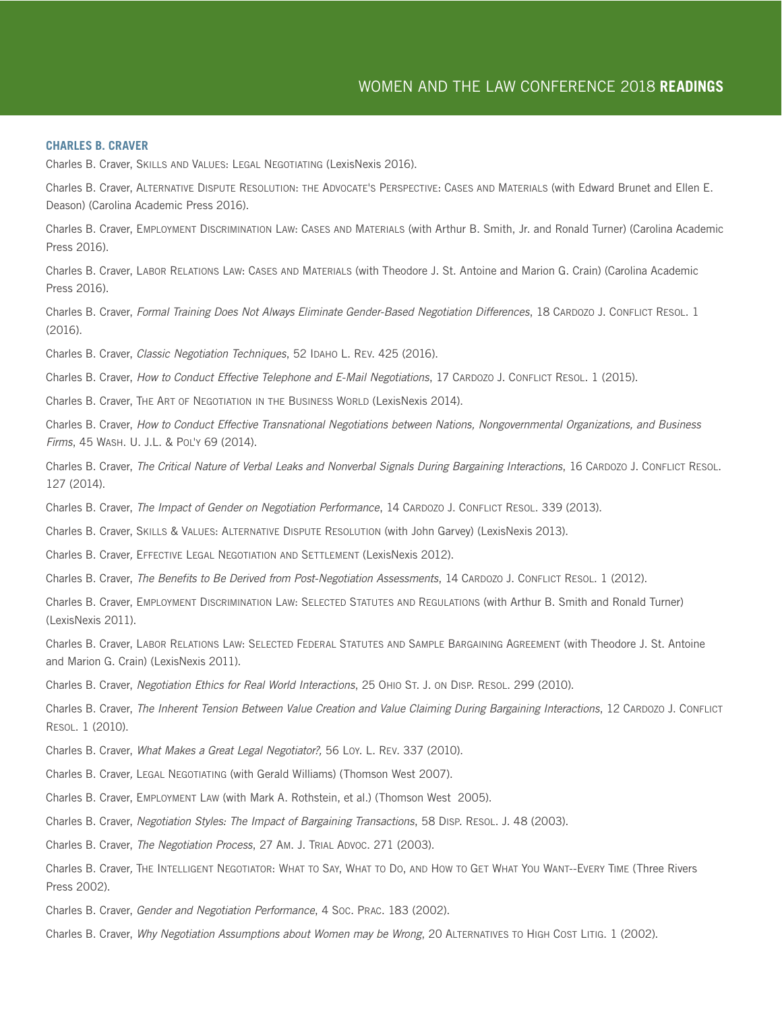### **CHARLES B. CRAVER**

Charles B. Craver, SKILLS AND VALUES: LEGAL NEGOTIATING (LexisNexis 2016).

Charles B. Craver, Alternative Dispute Resolution: the Advocate's Perspective: Cases and Materials (with Edward Brunet and Ellen E. Deason) (Carolina Academic Press 2016).

Charles B. Craver, Employment Discrimination Law: Cases and Materials (with Arthur B. Smith, Jr. and Ronald Turner) (Carolina Academic Press 2016).

Charles B. Craver, Labor Relations Law: Cases and Materials (with Theodore J. St. Antoine and Marion G. Crain) (Carolina Academic Press 2016).

Charles B. Craver, *Formal Training Does Not Always Eliminate Gender-Based Negotiation Differences*, 18 CARDOZO J. CONFLICT RESOL. 1 (2016).

Charles B. Craver, *Classic Negotiation Techniques*, 52 Idaho L. Rev. 425 (2016).

Charles B. Craver, *How to Conduct Effective Telephone and E-Mail Negotiations*, 17 CARDOZO J. CONFLICT RESOL. 1 (2015).

Charles B. Craver, THE ART OF NEGOTIATION IN THE BUSINESS WORLD (LexisNexis 2014).

Charles B. Craver, *How to Conduct Effective Transnational Negotiations between Nations, Nongovernmental Organizations, and Business Firms*, 45 Wash. U. J.L. & Pol'y 69 (2014).

Charles B. Craver, *The Critical Nature of Verbal Leaks and Nonverbal Signals During Bargaining Interactions*, 16 CARDOZO J. CONFLICT RESOL. 127 (2014).

Charles B. Craver, *The Impact of Gender on Negotiation Performance*, 14 CARDOZO J. CONFLICT RESOL. 339 (2013).

Charles B. Craver, Skills & Values: Alternative Dispute Resolution (with John Garvey) (LexisNexis 2013).

Charles B. Craver*,* Effective Legal Negotiation and Settlement (LexisNexis 2012).

Charles B. Craver, *The Benefits to Be Derived from Post-Negotiation Assessments*, 14 CARDOZO J. CONFLICT RESOL. 1 (2012).

Charles B. Craver, Employment Discrimination Law: Selected Statutes and Regulations (with Arthur B. Smith and Ronald Turner) (LexisNexis 2011).

Charles B. Craver, Labor Relations Law: Selected Federal Statutes and Sample Bargaining Agreement (with Theodore J. St. Antoine and Marion G. Crain) (LexisNexis 2011).

Charles B. Craver, *Negotiation Ethics for Real World Interactions*, 25 Ohio St. J. on Disp. Resol. 299 (2010).

Charles B. Craver, *The Inherent Tension Between Value Creation and Value Claiming During Bargaining Interactions*, 12 CARDOZO J. CONFLICT Resol. 1 (2010).

Charles B. Craver, *What Makes a Great Legal Negotiator?,* 56 Loy. L. Rev. 337 (2010).

Charles B. Craver*,* Legal Negotiating (with Gerald Williams) (Thomson West 2007).

Charles B. Craver, Employment Law (with Mark A. Rothstein, et al.) (Thomson West 2005).

Charles B. Craver, *Negotiation Styles: The Impact of Bargaining Transactions*, 58 Disp. Resol. J. 48 (2003).

Charles B. Craver, *The Negotiation Process*, 27 Am. J. TRIAL ADVOC. 271 (2003).

Charles B. Craver*,* The Intelligent Negotiator: What to Say, What to Do, and How to Get What You Want--Every Time (Three Rivers Press 2002).

Charles B. Craver, *Gender and Negotiation Performance*, 4 Soc. Prac. 183 (2002).

Charles B. Craver, *Why Negotiation Assumptions about Women may be Wrong*, 20 Alternatives to High Cost Litig. 1 (2002).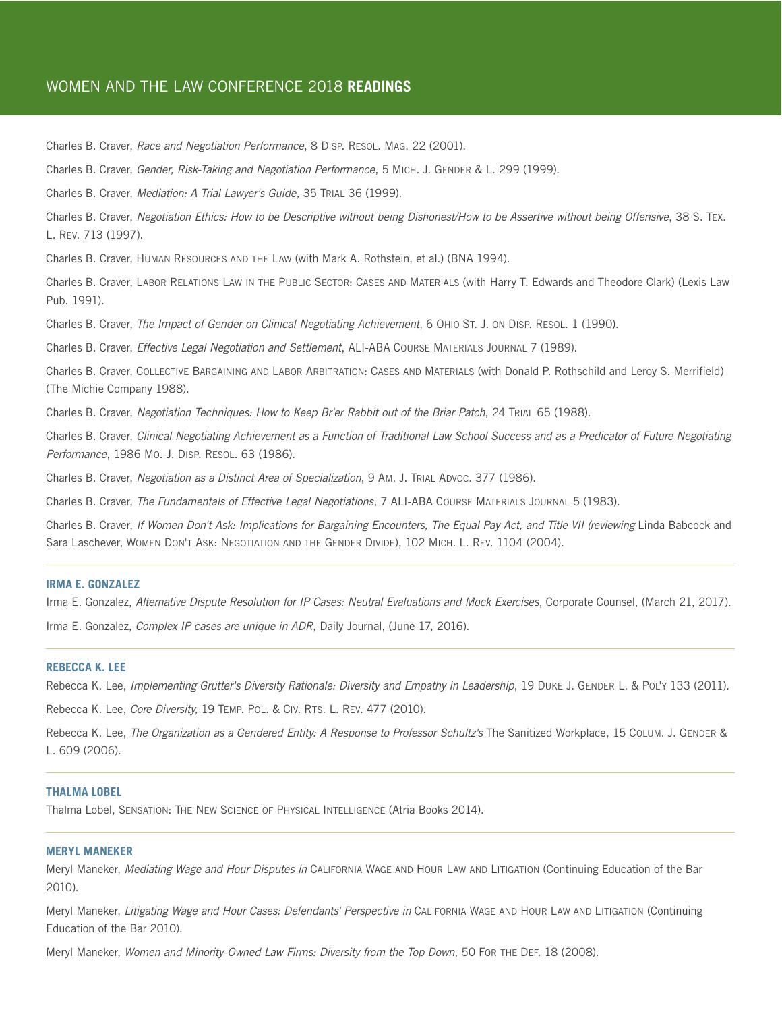# WOMEN AND THE LAW CONFERENCE 2018 **READINGS**

Charles B. Craver, *Race and Negotiation Performance*, 8 Disp. Resol. Mag. 22 (2001).

Charles B. Craver, *Gender, Risk-Taking and Negotiation Performance*, 5 MICH. J. GENDER & L. 299 (1999).

Charles B. Craver, *Mediation: A Trial Lawyer's Guide*, 35 Trial 36 (1999).

Charles B. Craver, *Negotiation Ethics: How to be Descriptive without being Dishonest/How to be Assertive without being Offensive*, 38 S. Tex. L. Rev. 713 (1997).

Charles B. Craver, Human Resources and the Law (with Mark A. Rothstein, et al.) (BNA 1994).

Charles B. Craver, Labor Relations Law in the Public Sector: Cases and Materials (with Harry T. Edwards and Theodore Clark) (Lexis Law Pub. 1991).

Charles B. Craver, *The Impact of Gender on Clinical Negotiating Achievement*, 6 Ohio St. J. on Disp. Resol. 1 (1990).

Charles B. Craver, *Effective Legal Negotiation and Settlement*, ALI-ABA Course Materials Journal 7 (1989).

Charles B. Craver, COLLECTIVE BARGAINING AND LABOR ARBITRATION: CASES AND MATERIALS (with Donald P. Rothschild and Leroy S. Merrifield) (The Michie Company 1988).

Charles B. Craver, *Negotiation Techniques: How to Keep Br'er Rabbit out of the Briar Patch*, 24 Trial 65 (1988).

Charles B. Craver, *Clinical Negotiating Achievement as a Function of Traditional Law School Success and as a Predicator of Future Negotiating Performance*, 1986 Mo. J. Disp. Resol. 63 (1986).

Charles B. Craver, *Negotiation as a Distinct Area of Specialization*, 9 Am. J. TRIAL ADVOC. 377 (1986).

Charles B. Craver, *The Fundamentals of Effective Legal Negotiations*, 7 ALI-ABA Course Materials Journal 5 (1983).

Charles B. Craver, If Women Don't Ask: Implications for Bargaining Encounters, The Equal Pay Act, and Title VII (reviewing Linda Babcock and Sara Laschever, Women Don't Ask: Negotiation and the Gender Divide), 102 Mich. L. Rev. 1104 (2004).

# **IRMA E. GONZALEZ**

Irma E. Gonzalez, *Alternative Dispute Resolution for IP Cases: Neutral Evaluations and Mock Exercises*, Corporate Counsel, (March 21, 2017). Irma E. Gonzalez, *Complex IP cases are unique in ADR*, Daily Journal, (June 17, 2016).

#### **REBECCA K. LEE**

Rebecca K. Lee, *Implementing Grutter's Diversity Rationale: Diversity and Empathy in Leadership*, 19 Duke J. Gender L. & Pol'y 133 (2011).

Rebecca K. Lee, *Core Diversity,* 19 Temp. Pol. & Civ. Rts. L. Rev. 477 (2010).

Rebecca K. Lee, *The Organization as a Gendered Entity: A Response to Professor Schultz's* The Sanitized Workplace, 15 Colum. J. GENDER & L. 609 (2006).

#### **THALMA LOBEL**

Thalma Lobel, Sensation: The New Science of Physical Intelligence (Atria Books 2014).

# **MERYL MANEKER**

Meryl Maneker, *Mediating Wage and Hour Disputes in* California Wage and Hour Law and Litigation (Continuing Education of the Bar 2010).

Meryl Maneker, *Litigating Wage and Hour Cases: Defendants' Perspective in* California Wage and Hour Law and Litigation (Continuing Education of the Bar 2010).

Meryl Maneker, *Women and Minority-Owned Law Firms: Diversity from the Top Down*, 50 For the Def*.* 18 (2008).